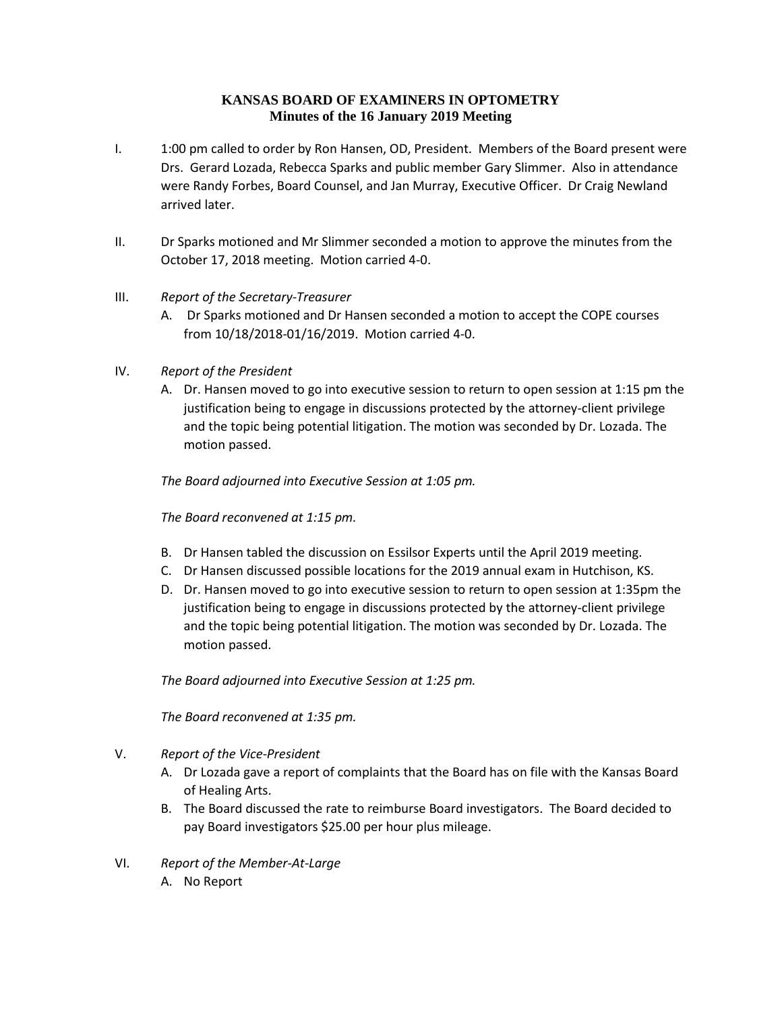## **KANSAS BOARD OF EXAMINERS IN OPTOMETRY Minutes of the 16 January 2019 Meeting**

- I. 1:00 pm called to order by Ron Hansen, OD, President. Members of the Board present were Drs. Gerard Lozada, Rebecca Sparks and public member Gary Slimmer. Also in attendance were Randy Forbes, Board Counsel, and Jan Murray, Executive Officer. Dr Craig Newland arrived later.
- II. Dr Sparks motioned and Mr Slimmer seconded a motion to approve the minutes from the October 17, 2018 meeting. Motion carried 4-0.

## III. *Report of the Secretary-Treasurer*

- A. Dr Sparks motioned and Dr Hansen seconded a motion to accept the COPE courses from 10/18/2018-01/16/2019. Motion carried 4-0.
- IV. *Report of the President*
	- A. Dr. Hansen moved to go into executive session to return to open session at 1:15 pm the justification being to engage in discussions protected by the attorney-client privilege and the topic being potential litigation. The motion was seconded by Dr. Lozada. The motion passed.

*The Board adjourned into Executive Session at 1:05 pm.*

*The Board reconvened at 1:15 pm.*

- B. Dr Hansen tabled the discussion on Essilsor Experts until the April 2019 meeting.
- C. Dr Hansen discussed possible locations for the 2019 annual exam in Hutchison, KS.
- D. Dr. Hansen moved to go into executive session to return to open session at 1:35pm the justification being to engage in discussions protected by the attorney-client privilege and the topic being potential litigation. The motion was seconded by Dr. Lozada. The motion passed.

*The Board adjourned into Executive Session at 1:25 pm.*

*The Board reconvened at 1:35 pm.*

- V. *Report of the Vice-President*
	- A. Dr Lozada gave a report of complaints that the Board has on file with the Kansas Board of Healing Arts.
	- B. The Board discussed the rate to reimburse Board investigators. The Board decided to pay Board investigators \$25.00 per hour plus mileage.
- VI. *Report of the Member-At-Large*
	- A. No Report